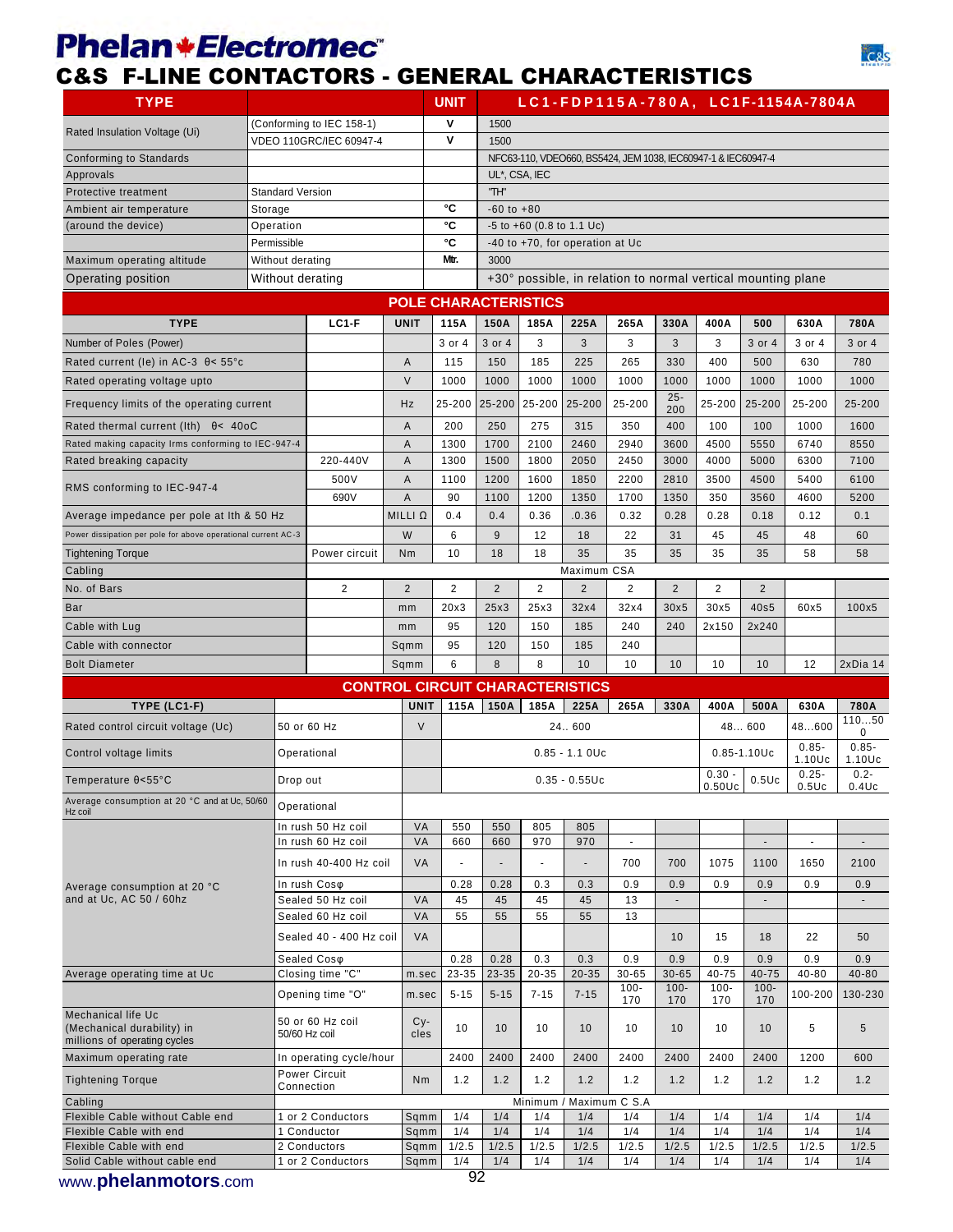## **Phelan \*Electromec**

## C&S F-LINE CONTACTORS - GENERAL CHARACTERISTICS



| <b>TYPE</b>                                                                      |                                   |                                    |                     | <b>UNIT</b>    |                                                              |               |                                 |                                                               |                      |                      |                      | LC1-FDP115A-780A, LC1F-1154A-7804A |                   |  |
|----------------------------------------------------------------------------------|-----------------------------------|------------------------------------|---------------------|----------------|--------------------------------------------------------------|---------------|---------------------------------|---------------------------------------------------------------|----------------------|----------------------|----------------------|------------------------------------|-------------------|--|
|                                                                                  |                                   | (Conforming to IEC 158-1)          |                     | ۷              | 1500                                                         |               |                                 |                                                               |                      |                      |                      |                                    |                   |  |
| Rated Insulation Voltage (Ui)                                                    |                                   | <b>VDEO 110GRC/IEC 60947-4</b>     |                     | v              | 1500                                                         |               |                                 |                                                               |                      |                      |                      |                                    |                   |  |
| Conforming to Standards                                                          |                                   |                                    |                     |                |                                                              |               |                                 | NFC63-110, VDEO660, BS5424, JEM 1038, IEC60947-1 & IEC60947-4 |                      |                      |                      |                                    |                   |  |
| Approvals                                                                        |                                   |                                    |                     |                |                                                              | UL*, CSA, IEC |                                 |                                                               |                      |                      |                      |                                    |                   |  |
| Protective treatment                                                             | <b>Standard Version</b>           |                                    |                     |                | "TH"                                                         |               |                                 |                                                               |                      |                      |                      |                                    |                   |  |
| Ambient air temperature<br>(around the device)                                   | Storage<br>Operation              |                                    |                     | °C<br>°C       | $-60$ to $+80$                                               |               | $-5$ to $+60$ (0.8 to 1.1 Uc)   |                                                               |                      |                      |                      |                                    |                   |  |
|                                                                                  | Permissible                       |                                    |                     | °C             |                                                              |               | -40 to +70, for operation at Uc |                                                               |                      |                      |                      |                                    |                   |  |
| Maximum operating altitude                                                       | Without derating                  |                                    |                     | Mtr.           | 3000                                                         |               |                                 |                                                               |                      |                      |                      |                                    |                   |  |
| Operating position                                                               |                                   | Without derating                   |                     |                | +30° possible, in relation to normal vertical mounting plane |               |                                 |                                                               |                      |                      |                      |                                    |                   |  |
|                                                                                  |                                   |                                    |                     |                | <b>POLE CHARACTERISTICS</b>                                  |               |                                 |                                                               |                      |                      |                      |                                    |                   |  |
| <b>TYPE</b>                                                                      |                                   | $LC1-F$                            | <b>UNIT</b>         | 115A           | <b>150A</b>                                                  | 185A          | 225A                            | 265A                                                          | 330A                 | 400A                 | 500                  | 630A                               | 780A              |  |
| Number of Poles (Power)                                                          |                                   |                                    |                     | 3 or 4         | 3 or 4                                                       | 3             | 3                               | 3                                                             | 3                    | 3                    | 3 or 4               | 3 or 4                             | 3 or 4            |  |
| Rated current (le) in AC-3 $\theta$ < 55°c                                       |                                   |                                    | Α                   | 115            | 150                                                          | 185           | 225                             | 265                                                           | 330                  | 400                  | 500                  | 630                                | 780               |  |
| Rated operating voltage upto                                                     |                                   |                                    | $\vee$              | 1000           | 1000                                                         | 1000          | 1000                            | 1000                                                          | 1000                 | 1000                 | 1000                 | 1000                               | 1000              |  |
|                                                                                  |                                   |                                    |                     |                |                                                              |               |                                 |                                                               | $25 -$               |                      |                      |                                    |                   |  |
| Frequency limits of the operating current                                        |                                   |                                    | Hz                  | 25-200         | 25-200                                                       | 25-200        | 25-200                          | 25-200                                                        | 200                  | 25-200               | 25-200               | 25-200                             | 25-200            |  |
| Rated thermal current (Ith) $\theta$ < 40oC                                      |                                   |                                    | Α                   | 200            | 250                                                          | 275           | 315                             | 350                                                           | 400                  | 100                  | 100                  | 1000                               | 1600              |  |
| Rated making capacity Irms conforming to IEC-947-4                               |                                   |                                    | Α                   | 1300           | 1700                                                         | 2100          | 2460                            | 2940                                                          | 3600                 | 4500                 | 5550                 | 6740                               | 8550              |  |
| Rated breaking capacity                                                          |                                   | 220-440V                           | Α                   | 1300           | 1500                                                         | 1800          | 2050                            | 2450                                                          | 3000                 | 4000                 | 5000                 | 6300                               | 7100              |  |
| RMS conforming to IEC-947-4                                                      |                                   | 500V                               | Α                   | 1100           | 1200                                                         | 1600          | 1850                            | 2200                                                          | 2810                 | 3500                 | 4500                 | 5400                               | 6100              |  |
|                                                                                  |                                   | 690V                               | Α<br>MILLI $\Omega$ | 90<br>0.4      | 1100<br>0.4                                                  | 1200<br>0.36  | 1350<br>.0.36                   | 1700<br>0.32                                                  | 1350<br>0.28         | 350<br>0.28          | 3560<br>0.18         | 4600<br>0.12                       | 5200<br>0.1       |  |
| Average impedance per pole at Ith & 50 Hz                                        |                                   |                                    | W                   |                |                                                              |               |                                 |                                                               |                      |                      |                      |                                    |                   |  |
| Power dissipation per pole for above operational current AC-3                    |                                   | Power circuit                      | Nm                  | 6<br>10        | 9<br>18                                                      | 12<br>18      | 18<br>35                        | 22<br>35                                                      | 31<br>35             | 45<br>35             | 45<br>35             | 48<br>58                           | 60<br>58          |  |
| <b>Tightening Torque</b><br>Cabling                                              |                                   |                                    |                     |                |                                                              |               | Maximum CSA                     |                                                               |                      |                      |                      |                                    |                   |  |
| No. of Bars                                                                      |                                   | $\overline{2}$                     | $\overline{2}$      | $\overline{2}$ | $\overline{2}$                                               | 2             | $\overline{2}$                  | 2                                                             | 2                    | 2                    | $\overline{2}$       |                                    |                   |  |
| Bar                                                                              |                                   |                                    | mm                  | 20x3           | 25x3                                                         | 25x3          | 32x4                            | 32x4                                                          | 30x5                 | 30x5                 | 40s5                 | 60x5                               | 100x5             |  |
| Cable with Lug                                                                   |                                   |                                    | mm                  | 95             | 120                                                          | 150           | 185                             | 240                                                           | 240                  | 2x150                | 2x240                |                                    |                   |  |
| Cable with connector                                                             |                                   |                                    | Sqmm                | 95             | 120                                                          | 150           | 185                             | 240                                                           |                      |                      |                      |                                    |                   |  |
| <b>Bolt Diameter</b>                                                             |                                   |                                    | Sqmm                | 6              | 8                                                            | 8             | 10                              | 10                                                            | 10                   | 10                   | 10                   | 12                                 | 2xDia 14          |  |
|                                                                                  |                                   |                                    |                     |                | <b>CONTROL CIRCUIT CHARACTERISTICS</b>                       |               |                                 |                                                               |                      |                      |                      |                                    |                   |  |
| TYPE (LC1-F)                                                                     |                                   |                                    | <b>UNIT</b>         | 115A           | 150A                                                         | 185A          | 225A                            | 265A                                                          | 330A                 | 400A                 | 500A                 | 630A                               | 780A              |  |
| Rated control circuit voltage (Uc)                                               |                                   | 50 or 60 Hz                        | V                   |                |                                                              |               |                                 |                                                               |                      |                      | 48 600               | 48600                              | 11050             |  |
|                                                                                  |                                   |                                    |                     |                | 24.600                                                       |               |                                 |                                                               |                      | $0.85 -$             |                      |                                    | 0<br>$0.85 -$     |  |
| Control voltage limits                                                           |                                   | Operational                        |                     |                | $0.85 - 1.10$ Uc<br>$0.85 - 1.1$ OUc<br>$0.30 -$             |               |                                 |                                                               |                      |                      |                      | 1.10Uc<br>$0.25 -$                 | 1.10Uc<br>$0.2 -$ |  |
| Temperature $\theta$ < 55 $\degree$ C                                            |                                   | Drop out                           |                     |                |                                                              |               | $0.35 - 0.55$ Uc                |                                                               |                      | $0.50$ Uc            | $0.5$ Uc             | $0.5$ Uc                           | $0.4$ Uc          |  |
| Average consumption at 20 °C and at Uc, 50/60<br>Hz coil                         |                                   | Operational                        |                     |                |                                                              |               |                                 |                                                               |                      |                      |                      |                                    |                   |  |
|                                                                                  |                                   | In rush 50 Hz coil                 | VA                  | 550            | 550                                                          | 805           | 805                             |                                                               |                      |                      |                      |                                    |                   |  |
|                                                                                  |                                   | In rush 60 Hz coil                 | VA                  | 660            | 660                                                          | 970           | 970                             | $\blacksquare$                                                |                      |                      |                      | ä,                                 |                   |  |
|                                                                                  |                                   | In rush 40-400 Hz coil             | VA                  |                |                                                              | $\omega$      | $\blacksquare$                  | 700                                                           | 700                  | 1075                 | 1100                 | 1650                               | 2100              |  |
| Average consumption at 20 °C                                                     |                                   | In rush Coso                       |                     | 0.28           | 0.28                                                         | 0.3           | 0.3                             | 0.9                                                           | 0.9                  | 0.9                  | 0.9                  | 0.9                                | 0.9               |  |
| and at Uc, AC 50 / 60hz                                                          |                                   | Sealed 50 Hz coil                  | VA                  | 45             | 45                                                           | 45            | 45                              | 13                                                            |                      |                      |                      |                                    |                   |  |
|                                                                                  |                                   | Sealed 60 Hz coil                  | VA                  | 55             | 55                                                           | 55            | 55                              | 13                                                            |                      |                      |                      |                                    |                   |  |
|                                                                                  |                                   | Sealed 40 - 400 Hz coil            | VA                  |                |                                                              |               |                                 |                                                               | 10                   | 15                   | 18                   | 22                                 | 50                |  |
|                                                                                  |                                   | Sealed Coso                        |                     | 0.28           | 0.28                                                         | 0.3           | 0.3                             | 0.9                                                           | 0.9                  | 0.9                  | 0.9                  | 0.9                                | 0.9               |  |
| Average operating time at Uc                                                     |                                   | Closing time "C"                   | m.sec               | 23-35          | 23-35                                                        | $20 - 35$     | $20 - 35$                       | $30 - 65$<br>$100 -$                                          | $30 - 65$<br>$100 -$ | $40 - 75$<br>$100 -$ | $40 - 75$<br>$100 -$ | $40 - 80$                          | $40 - 80$         |  |
|                                                                                  |                                   | Opening time "O"                   | m.sec               | $5 - 15$       | $5 - 15$                                                     | $7 - 15$      | $7 - 15$                        | 170                                                           | 170                  | 170                  | 170                  | 100-200                            | 130-230           |  |
| Mechanical life Uc<br>(Mechanical durability) in<br>millions of operating cycles | 50 or 60 Hz coil<br>50/60 Hz coil |                                    | Cy-<br>cles         | 10             | 10                                                           | 10            | 10                              | 10                                                            | 10                   | 10                   | 10                   | 5                                  | 5                 |  |
| Maximum operating rate                                                           |                                   | In operating cycle/hour            |                     | 2400           | 2400                                                         | 2400          | 2400                            | 2400                                                          | 2400                 | 2400                 | 2400                 | 1200                               | 600               |  |
| <b>Tightening Torque</b>                                                         |                                   | <b>Power Circuit</b><br>Connection | <b>Nm</b>           | 1.2            | 1.2                                                          | 1.2           | 1.2                             | 1.2                                                           | 1.2                  | 1.2                  | 1.2                  | 1.2                                | 1.2               |  |
| Cabling                                                                          |                                   |                                    |                     |                |                                                              | Minimum /     |                                 | Maximum C S.A                                                 |                      |                      |                      |                                    |                   |  |
| Flexible Cable without Cable end                                                 |                                   | 1 or 2 Conductors                  | Sqmm                | 1/4            | 1/4                                                          | 1/4           | 1/4                             | 1/4                                                           | 1/4                  | 1/4                  | 1/4                  | 1/4                                | 1/4               |  |
| Flexible Cable with end<br>Flexible Cable with end                               |                                   | 1 Conductor<br>2 Conductors        | Sqmm<br>Sqmm        | 1/4<br>1/2.5   | 1/4<br>1/2.5                                                 | 1/4<br>1/2.5  | 1/4<br>1/2.5                    | 1/4<br>1/2.5                                                  | 1/4<br>1/2.5         | 1/4<br>1/2.5         | 1/4<br>1/2.5         | 1/4<br>1/2.5                       | 1/4<br>1/2.5      |  |
| Solid Cable without cable end                                                    |                                   | 1 or 2 Conductors                  | Sqmm                | 1/4            | 1/4                                                          | 1/4           | 1/4                             | 1/4                                                           | 1/4                  | 1/4                  | 1/4                  | 1/4                                | 1/4               |  |

www.**phelanmotors**.com 92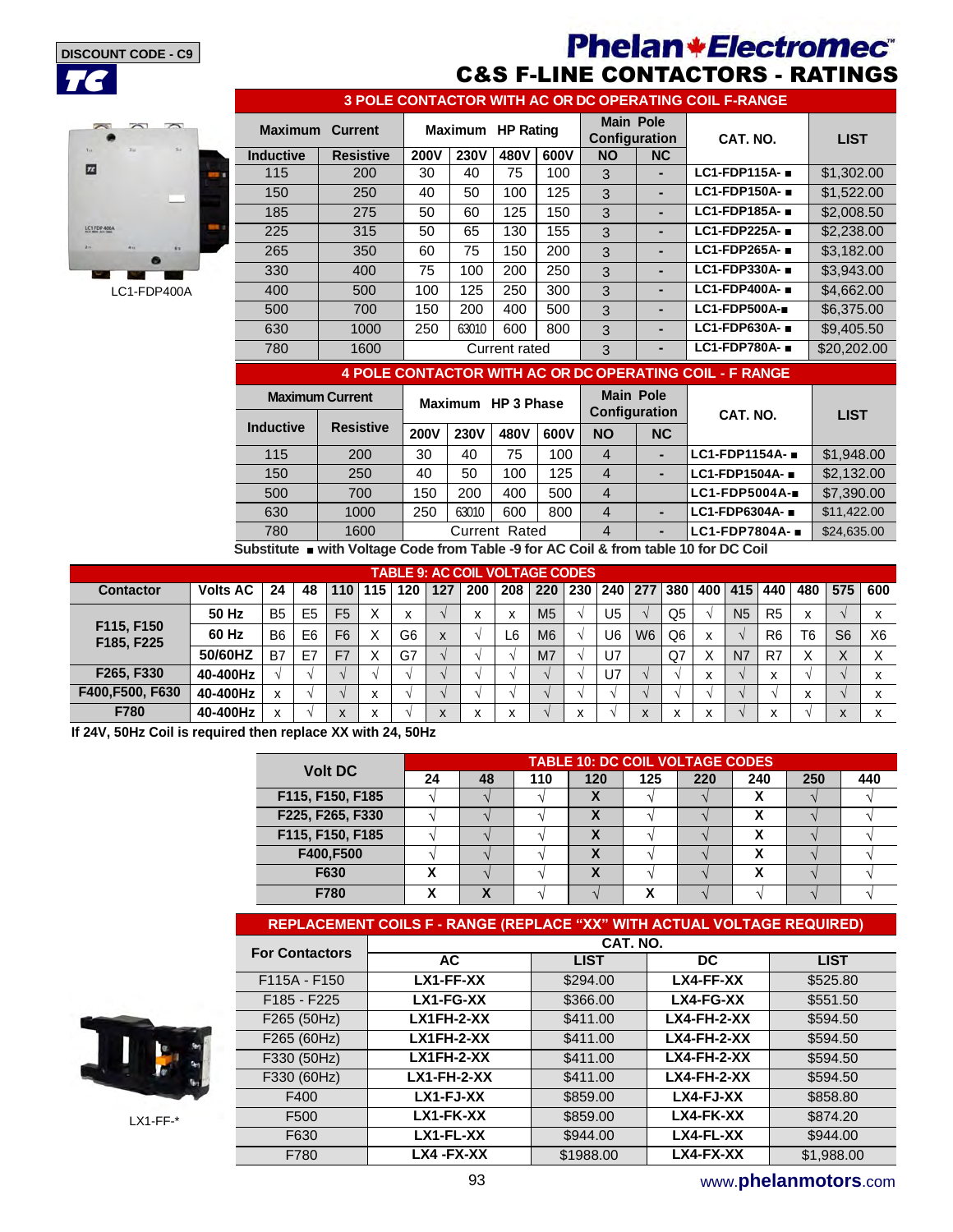

## **Phelan+Electromec**® C&S F-LINE CONTACTORS - RATINGS



LC1-FDP400A

| 3 POLE CONTACTOR WITH AC OR DC OPERATING COIL F-RANGE |                  |                   |             |               |      |                                          |    |                                |             |  |  |  |
|-------------------------------------------------------|------------------|-------------------|-------------|---------------|------|------------------------------------------|----|--------------------------------|-------------|--|--|--|
| <b>Maximum</b><br><b>Current</b>                      |                  | Maximum HP Rating |             |               |      | <b>Main Pole</b><br><b>Configuration</b> |    | CAT. NO.                       | <b>LIST</b> |  |  |  |
| <b>Inductive</b>                                      | <b>Resistive</b> | <b>200V</b>       | <b>230V</b> | 480V          | 600V | <b>NO</b>                                | NC |                                |             |  |  |  |
| 115                                                   | 200              | 30                | 40          | 75            | 100  | 3                                        |    | LC1-FDP115A-                   | \$1,302.00  |  |  |  |
| 150                                                   | 250              | 40                | 50          | 100           | 125  | 3                                        |    | $LC1$ -FDP150A- $\blacksquare$ | \$1,522.00  |  |  |  |
| 185                                                   | 275              | 50                | 60          | 125           | 150  | 3                                        |    | $LC1$ -FDP185A- $\blacksquare$ | \$2,008.50  |  |  |  |
| 225                                                   | 315              | 50                | 65          | 130           | 155  | 3                                        |    | LC1-FDP225A-                   | \$2,238,00  |  |  |  |
| 265                                                   | 350              | 60                | 75          | 150           | 200  | 3                                        |    | $LC1$ -FDP265A- $\blacksquare$ | \$3,182,00  |  |  |  |
| 330                                                   | 400              | 75                | 100         | 200           | 250  | 3                                        |    | LC1-FDP330A-                   | \$3,943.00  |  |  |  |
| 400                                                   | 500              | 100               | 125         | 250           | 300  | 3                                        |    | $LC1$ -FDP400A- $\blacksquare$ | \$4,662,00  |  |  |  |
| 500                                                   | 700              | 150               | 200         | 400           | 500  | 3                                        |    | $LC1$ -FDP500A-                | \$6,375,00  |  |  |  |
| 630                                                   | 1000             | 250               | 63010       | 600           | 800  | 3                                        |    | $LC1$ -FDP630A- $\blacksquare$ | \$9,405.50  |  |  |  |
| 780                                                   | 1600             |                   |             | Current rated |      | 3                                        |    | $LC1$ -FDP780A- $\blacksquare$ | \$20,202.00 |  |  |  |

#### **4 POLE CONTACTOR WITH AC OR DC OPERATING COIL - F RANGE**

| <b>Maximum Current</b> |                                                                                                                                                                                                                                    |             | Maximum HP 3 Phase |               |      | <b>Main Pole</b>     |           |                              |             |
|------------------------|------------------------------------------------------------------------------------------------------------------------------------------------------------------------------------------------------------------------------------|-------------|--------------------|---------------|------|----------------------|-----------|------------------------------|-------------|
|                        |                                                                                                                                                                                                                                    |             |                    |               |      | <b>Configuration</b> |           | CAT. NO.                     | <b>LIST</b> |
| <b>Inductive</b>       | <b>Resistive</b>                                                                                                                                                                                                                   | <b>200V</b> | <b>230V</b>        | 480V          | 600V | <b>NO</b>            | <b>NC</b> |                              |             |
| 115                    | 200                                                                                                                                                                                                                                | 30          | 40                 | 75            | 100  | $\overline{4}$       |           | LC1-FDP1154A- $\blacksquare$ | \$1,948.00  |
| 150                    | 250                                                                                                                                                                                                                                | 40          | 50                 | 100           | 125  | $\overline{4}$       |           | LC1-FDP1504A-                | \$2,132.00  |
| 500                    | 700                                                                                                                                                                                                                                | 150         | 200                | 400           | 500  | $\overline{4}$       |           | $LC1$ -FDP5004A-             | \$7,390.00  |
| 630                    | 1000                                                                                                                                                                                                                               | 250         | 63010              | 600           | 800  | $\overline{4}$       |           | LC1-FDP6304A- ■              | \$11,422,00 |
| 780                    | 1600                                                                                                                                                                                                                               |             |                    | Current Rated |      | $\overline{4}$       | -         | LC1-FDP7804A- ■              | \$24,635.00 |
| .                      | $\mathcal{L}$ . The contract of the contract of the contract of the contract of the contract of the contract of the contract of the contract of the contract of the contract of the contract of the contract of the contract of th |             |                    |               |      |                      |           |                              |             |

**Substitute** ■ **with Voltage Code from Table -9 for AC Coil & from table 10 for DC Coil**

| <b>TABLE 9: AC COIL VOLTAGE CODES</b> |                 |                |                |                          |                   |                   |              |           |                   |                |                       |                |                |                |                           |                |                   |                           |                |                |
|---------------------------------------|-----------------|----------------|----------------|--------------------------|-------------------|-------------------|--------------|-----------|-------------------|----------------|-----------------------|----------------|----------------|----------------|---------------------------|----------------|-------------------|---------------------------|----------------|----------------|
| <b>Contactor</b>                      | <b>Volts AC</b> | 24             | 48             | 110                      | 115               | 120               | 127          | 200       | 208               | 220            | 230   240   277   380 |                |                |                | 400                       | 415            | 440               | 480                       | 575            | 600            |
|                                       | 50 Hz           | <b>B5</b>      | E <sub>5</sub> | F <sub>5</sub>           |                   | $\checkmark$<br>⋏ |              |           | $\check{}$<br>A   | M <sub>5</sub> |                       | U <sub>5</sub> |                | Q5             |                           | N <sub>5</sub> | R <sub>5</sub>    | $\checkmark$<br>$\lambda$ |                | $\checkmark$   |
| F115, F150<br>F185, F225              | 60 Hz           | B <sub>6</sub> | E <sub>6</sub> | F <sub>6</sub>           |                   | G <sub>6</sub>    | X            |           | L6                | M <sub>6</sub> |                       | U6             | W <sub>6</sub> | Q <sub>6</sub> | x                         |                | R <sub>6</sub>    | T <sub>6</sub>            | S <sub>6</sub> | X <sub>6</sub> |
|                                       | 50/60HZ         | B7             | E7             | F7                       |                   | G7                |              |           |                   | M <sub>7</sub> |                       | U7             |                | Q7             | X                         | N <sub>7</sub> | R7                | Х                         |                |                |
| F265, F330                            | 40-400Hz        |                |                |                          |                   |                   |              |           |                   |                |                       | U7             |                |                | $\checkmark$<br>$\lambda$ |                | $\checkmark$<br>ж |                           |                | $\checkmark$   |
| F400, F500, F630                      | 40-400Hz        |                |                |                          | $\checkmark$<br>ᄉ |                   |              |           |                   |                |                       |                |                |                |                           |                |                   | $\checkmark$<br>$\lambda$ |                | ́              |
| F780                                  | 40-400Hz        |                |                | $\mathbf v$<br>$\lambda$ | $\mathbf{v}$<br>ᄉ |                   | $\mathbf{v}$ | $\lambda$ | $\checkmark$<br>́ |                | x                     |                | X              |                | x                         |                | x                 |                           | $\mathbf{v}$   | ⋏              |

**If 24V, 50Hz Coil is required then replace XX with 24, 50Hz** 

| <b>Volt DC</b>   | <b>TABLE 10: DC COIL VOLTAGE CODES</b> |    |     |                             |     |     |     |     |     |  |  |
|------------------|----------------------------------------|----|-----|-----------------------------|-----|-----|-----|-----|-----|--|--|
|                  | 24                                     | 48 | 110 | 120                         | 125 | 220 | 240 | 250 | 440 |  |  |
| F115, F150, F185 |                                        |    |     | $\boldsymbol{\Lambda}$      |     |     |     |     |     |  |  |
| F225, F265, F330 |                                        |    |     | $\boldsymbol{\Lambda}$      |     |     |     |     |     |  |  |
| F115, F150, F185 |                                        |    |     | $\boldsymbol{\Lambda}$      |     |     | v   |     |     |  |  |
| F400,F500        |                                        |    |     | $\lambda$                   |     |     |     |     |     |  |  |
| F630             | χ                                      |    |     | v<br>$\boldsymbol{\Lambda}$ |     |     | v   |     |     |  |  |
| F780             | х                                      |    |     |                             | v   |     |     |     |     |  |  |

| REPLACEMENT COILS F - RANGE (REPLACE "XX" WITH ACTUAL VOLTAGE REQUIRED) |                    |             |                |             |  |  |  |  |  |  |  |
|-------------------------------------------------------------------------|--------------------|-------------|----------------|-------------|--|--|--|--|--|--|--|
| <b>For Contactors</b>                                                   | CAT. NO.           |             |                |             |  |  |  |  |  |  |  |
|                                                                         | AC.                | <b>LIST</b> | DC.            | <b>LIST</b> |  |  |  |  |  |  |  |
| F115A - F150                                                            | LX1-FF-XX          | \$294.00    | LX4-FF-XX      | \$525.80    |  |  |  |  |  |  |  |
| F185 - F225                                                             | $LX1-FG-XX$        | \$366.00    | LX4-FG-XX      | \$551.50    |  |  |  |  |  |  |  |
| F265 (50Hz)                                                             | $LX1FH-2-XX$       | \$411.00    | $LXA$ -FH-2-XX | \$594.50    |  |  |  |  |  |  |  |
| F265 (60Hz)                                                             | LX1FH-2-XX         | \$411.00    | $LXA$ -FH-2-XX | \$594.50    |  |  |  |  |  |  |  |
| F330 (50Hz)                                                             | $LX1FH-2-XX$       | \$411.00    | $LXA$ -FH-2-XX | \$594.50    |  |  |  |  |  |  |  |
| F330 (60Hz)                                                             | <b>LX1-FH-2-XX</b> | \$411.00    | $LXA$ -FH-2-XX | \$594.50    |  |  |  |  |  |  |  |
| F400                                                                    | $LX1-FJ-XX$        | \$859.00    | LX4-FJ-XX      | \$858.80    |  |  |  |  |  |  |  |
| F500                                                                    | LX1-FK-XX          | \$859.00    | LX4-FK-XX      | \$874.20    |  |  |  |  |  |  |  |
| F630                                                                    | LX1-FL-XX          | \$944.00    | LX4-FL-XX      | \$944.00    |  |  |  |  |  |  |  |
| F780                                                                    | LX4-FX-XX          | \$1988.00   | LX4-FX-XX      | \$1,988.00  |  |  |  |  |  |  |  |



LX1-FF-\*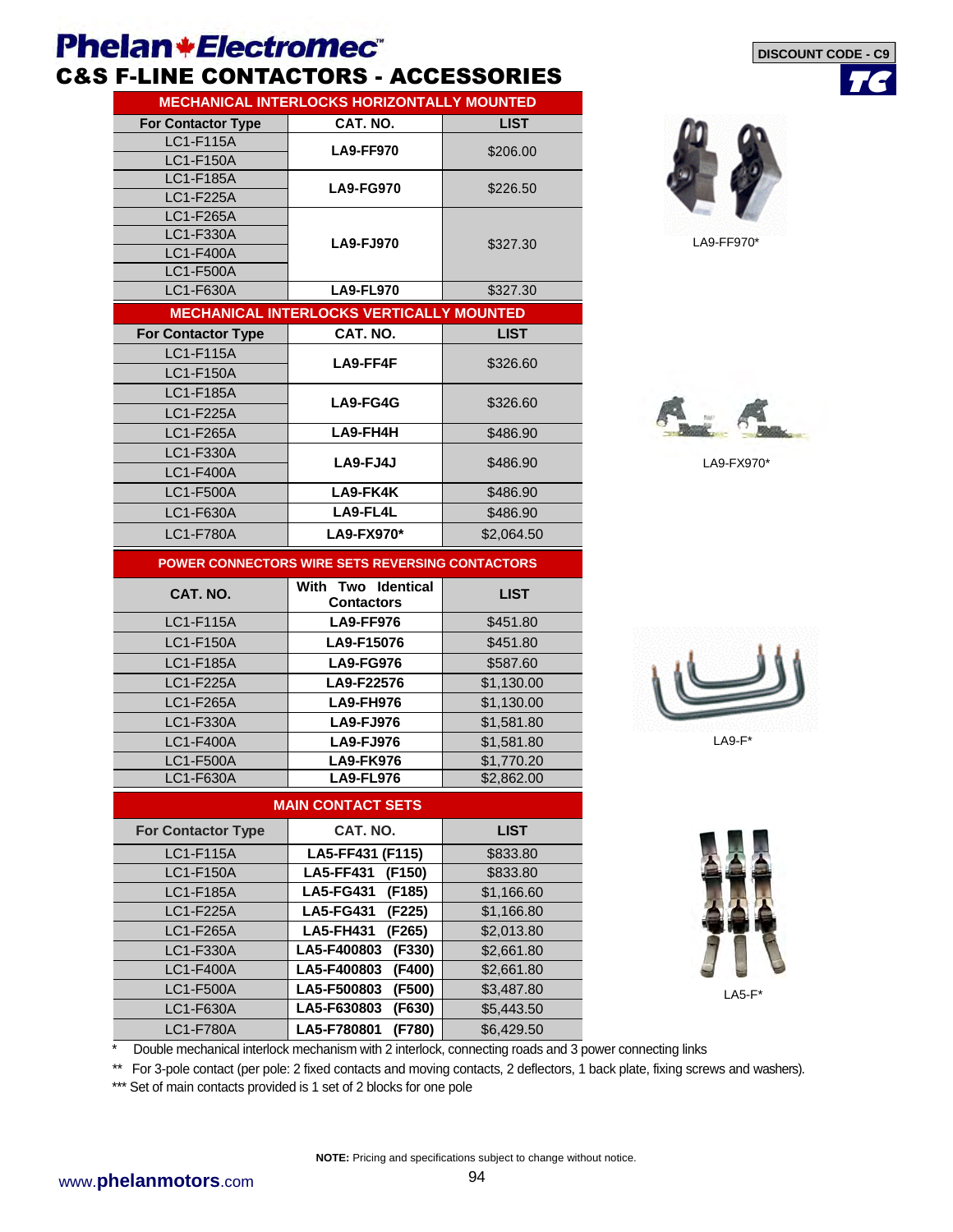# **Phelan+Electromec**®

## C&S F-LINE CONTACTORS - ACCESSORIES

| <b>MECHANICAL INTERLOCKS HORIZONTALLY MOUNTED</b> |                                                          |                          |  |  |  |  |  |  |  |  |
|---------------------------------------------------|----------------------------------------------------------|--------------------------|--|--|--|--|--|--|--|--|
| <b>For Contactor Type</b>                         | CAT. NO.                                                 | <b>LIST</b>              |  |  |  |  |  |  |  |  |
| LC1-F115A                                         | <b>LA9-FF970</b>                                         | \$206.00                 |  |  |  |  |  |  |  |  |
| LC1-F150A                                         |                                                          |                          |  |  |  |  |  |  |  |  |
| <b>LC1-F185A</b>                                  | <b>LA9-FG970</b>                                         | \$226.50                 |  |  |  |  |  |  |  |  |
| LC1-F225A                                         |                                                          |                          |  |  |  |  |  |  |  |  |
| LC1-F265A                                         |                                                          |                          |  |  |  |  |  |  |  |  |
| LC1-F330A                                         | <b>LA9-FJ970</b>                                         | \$327.30                 |  |  |  |  |  |  |  |  |
| <b>LC1-F400A</b>                                  |                                                          |                          |  |  |  |  |  |  |  |  |
| <b>LC1-F500A</b>                                  |                                                          |                          |  |  |  |  |  |  |  |  |
| LC1-F630A                                         | <b>LA9-FL970</b>                                         | \$327.30                 |  |  |  |  |  |  |  |  |
|                                                   | <b>MECHANICAL INTERLOCKS VERTICALLY MOUNTED</b>          |                          |  |  |  |  |  |  |  |  |
| <b>For Contactor Type</b>                         | CAT. NO.                                                 | <b>LIST</b>              |  |  |  |  |  |  |  |  |
| <b>LC1-F115A</b>                                  | LA9-FF4F                                                 | \$326.60                 |  |  |  |  |  |  |  |  |
| <b>LC1-F150A</b>                                  |                                                          |                          |  |  |  |  |  |  |  |  |
| <b>LC1-F185A</b>                                  | <b>LA9-FG4G</b>                                          | \$326.60                 |  |  |  |  |  |  |  |  |
| LC1-F225A                                         |                                                          |                          |  |  |  |  |  |  |  |  |
| LC1-F265A                                         | LA9-FH4H                                                 | \$486.90                 |  |  |  |  |  |  |  |  |
| <b>LC1-F330A</b>                                  | LA9-FJ4J                                                 | \$486.90                 |  |  |  |  |  |  |  |  |
| <b>LC1-F400A</b>                                  |                                                          |                          |  |  |  |  |  |  |  |  |
| <b>LC1-F500A</b>                                  | LA9-FK4K                                                 | \$486.90                 |  |  |  |  |  |  |  |  |
| LC1-F630A                                         | LA9-FL4L                                                 | \$486.90                 |  |  |  |  |  |  |  |  |
| <b>LC1-F780A</b>                                  | LA9-FX970*                                               | \$2,064.50               |  |  |  |  |  |  |  |  |
|                                                   | POWER CONNECTORS WIRE SETS REVERSING CONTACTORS          |                          |  |  |  |  |  |  |  |  |
|                                                   | With Two Identical                                       |                          |  |  |  |  |  |  |  |  |
| CAT. NO.                                          | <b>Contactors</b>                                        | <b>LIST</b>              |  |  |  |  |  |  |  |  |
| <b>LC1-F115A</b>                                  | <b>LA9-FF976</b>                                         | \$451.80                 |  |  |  |  |  |  |  |  |
| <b>LC1-F150A</b>                                  | LA9-F15076                                               | \$451.80                 |  |  |  |  |  |  |  |  |
| <b>LC1-F185A</b>                                  | <b>LA9-FG976</b>                                         | \$587.60                 |  |  |  |  |  |  |  |  |
| LC1-F225A                                         | LA9-F22576                                               | \$1,130.00               |  |  |  |  |  |  |  |  |
| <b>LC1-F265A</b>                                  | <b>LA9-FH976</b>                                         | \$1,130.00               |  |  |  |  |  |  |  |  |
| LC1-F330A                                         | <b>LA9-FJ976</b>                                         | \$1,581.80               |  |  |  |  |  |  |  |  |
| LC1-F400A                                         | <b>LA9-FJ976</b>                                         | \$1,581.80               |  |  |  |  |  |  |  |  |
| <b>LC1-F500A</b>                                  | <b>LA9-FK976</b>                                         | \$1,770.20               |  |  |  |  |  |  |  |  |
| LC1-F630A                                         | <b>LA9-FL976</b>                                         | \$2,862.00               |  |  |  |  |  |  |  |  |
|                                                   | <b>MAIN CONTACT SETS</b>                                 |                          |  |  |  |  |  |  |  |  |
| <b>For Contactor Type</b>                         | CAT. NO.                                                 | <b>LIST</b>              |  |  |  |  |  |  |  |  |
|                                                   |                                                          |                          |  |  |  |  |  |  |  |  |
| LC1-F115A<br>LC1-F150A                            | LA5-FF431 (F115)                                         | \$833.80                 |  |  |  |  |  |  |  |  |
| LC1-F185A                                         | <b>LA5-FF431</b><br>(F150)<br>(F185)                     | \$833.80<br>\$1,166.60   |  |  |  |  |  |  |  |  |
|                                                   | <b>LA5-FG431</b>                                         |                          |  |  |  |  |  |  |  |  |
| LC1-F225A<br>LC1-F265A                            | <b>LA5-FG431</b><br>(F225)<br><b>LA5-FH431</b><br>(F265) | \$1,166.80<br>\$2,013.80 |  |  |  |  |  |  |  |  |
| LC1-F330A                                         | (F330)<br>LA5-F400803                                    | \$2,661.80               |  |  |  |  |  |  |  |  |
| LC1-F400A                                         | LA5-F400803<br>(F400)                                    | \$2,661.80               |  |  |  |  |  |  |  |  |
| LC1-F500A                                         | LA5-F500803<br>(F500)                                    | \$3,487.80               |  |  |  |  |  |  |  |  |
| LC1-F630A                                         | LA5-F630803<br>(F630)                                    | \$5,443.50               |  |  |  |  |  |  |  |  |
| <b>LC1-F780A</b>                                  | LA5-F780801<br>(F780)                                    |                          |  |  |  |  |  |  |  |  |
|                                                   |                                                          | \$6,429.50               |  |  |  |  |  |  |  |  |



**TC**

**DISCOUNT CODE - C9**

LA9-FF970\*



LA9-FX970\*





 $LAS-F*$ 

Double mechanical interlock mechanism with 2 interlock, connecting roads and 3 power connecting links

\*\* For 3-pole contact (per pole: 2 fixed contacts and moving contacts, 2 deflectors, 1 back plate, fixing screws and washers).

\*\*\* Set of main contacts provided is 1 set of 2 blocks for one pole